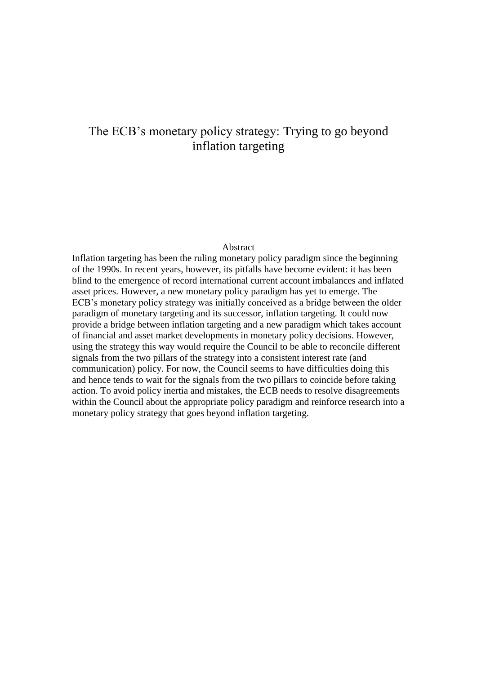# The ECB's monetary policy strategy: Trying to go beyond inflation targeting

#### Abstract

Inflation targeting has been the ruling monetary policy paradigm since the beginning of the 1990s. In recent years, however, its pitfalls have become evident: it has been blind to the emergence of record international current account imbalances and inflated asset prices. However, a new monetary policy paradigm has yet to emerge. The ECB's monetary policy strategy was initially conceived as a bridge between the older paradigm of monetary targeting and its successor, inflation targeting. It could now provide a bridge between inflation targeting and a new paradigm which takes account of financial and asset market developments in monetary policy decisions. However, using the strategy this way would require the Council to be able to reconcile different signals from the two pillars of the strategy into a consistent interest rate (and communication) policy. For now, the Council seems to have difficulties doing this and hence tends to wait for the signals from the two pillars to coincide before taking action. To avoid policy inertia and mistakes, the ECB needs to resolve disagreements within the Council about the appropriate policy paradigm and reinforce research into a monetary policy strategy that goes beyond inflation targeting.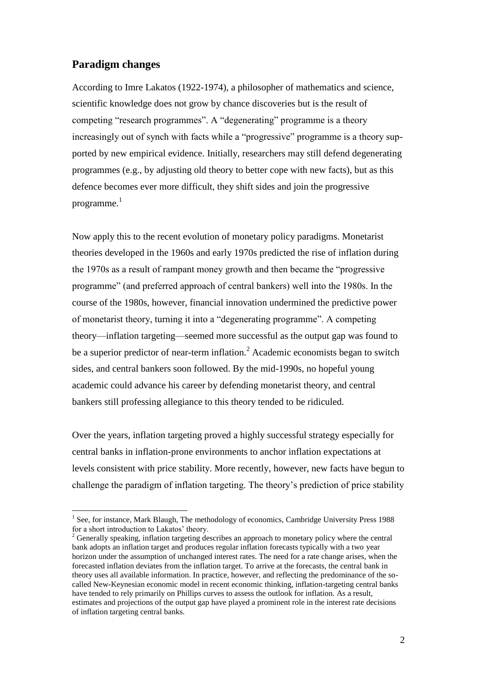### **Paradigm changes**

1

According to Imre Lakatos (1922-1974), a philosopher of mathematics and science, scientific knowledge does not grow by chance discoveries but is the result of competing "research programmes". A "degenerating" programme is a theory increasingly out of synch with facts while a "progressive" programme is a theory supported by new empirical evidence. Initially, researchers may still defend degenerating programmes (e.g., by adjusting old theory to better cope with new facts), but as this defence becomes ever more difficult, they shift sides and join the progressive programme. 1

Now apply this to the recent evolution of monetary policy paradigms. Monetarist theories developed in the 1960s and early 1970s predicted the rise of inflation during the 1970s as a result of rampant money growth and then became the "progressive programme" (and preferred approach of central bankers) well into the 1980s. In the course of the 1980s, however, financial innovation undermined the predictive power of monetarist theory, turning it into a "degenerating programme". A competing theory—inflation targeting—seemed more successful as the output gap was found to be a superior predictor of near-term inflation.<sup>2</sup> Academic economists began to switch sides, and central bankers soon followed. By the mid-1990s, no hopeful young academic could advance his career by defending monetarist theory, and central bankers still professing allegiance to this theory tended to be ridiculed.

Over the years, inflation targeting proved a highly successful strategy especially for central banks in inflation-prone environments to anchor inflation expectations at levels consistent with price stability. More recently, however, new facts have begun to challenge the paradigm of inflation targeting. The theory's prediction of price stability

<sup>&</sup>lt;sup>1</sup> See, for instance, Mark Blaugh, The methodology of economics, Cambridge University Press 1988 for a short introduction to Lakatos' theory.

 $2^2$  Generally speaking, inflation targeting describes an approach to monetary policy where the central bank adopts an inflation target and produces regular inflation forecasts typically with a two year horizon under the assumption of unchanged interest rates. The need for a rate change arises, when the forecasted inflation deviates from the inflation target. To arrive at the forecasts, the central bank in theory uses all available information. In practice, however, and reflecting the predominance of the socalled New-Keynesian economic model in recent economic thinking, inflation-targeting central banks have tended to rely primarily on Phillips curves to assess the outlook for inflation. As a result, estimates and projections of the output gap have played a prominent role in the interest rate decisions of inflation targeting central banks.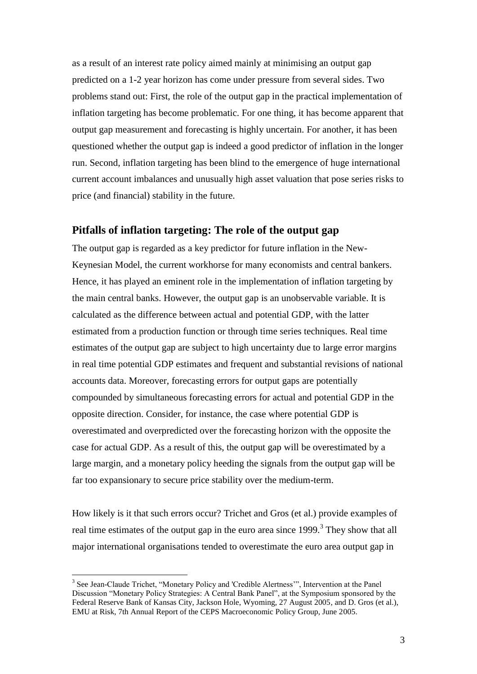as a result of an interest rate policy aimed mainly at minimising an output gap predicted on a 1-2 year horizon has come under pressure from several sides. Two problems stand out: First, the role of the output gap in the practical implementation of inflation targeting has become problematic. For one thing, it has become apparent that output gap measurement and forecasting is highly uncertain. For another, it has been questioned whether the output gap is indeed a good predictor of inflation in the longer run. Second, inflation targeting has been blind to the emergence of huge international current account imbalances and unusually high asset valuation that pose series risks to price (and financial) stability in the future.

#### **Pitfalls of inflation targeting: The role of the output gap**

The output gap is regarded as a key predictor for future inflation in the New-Keynesian Model, the current workhorse for many economists and central bankers. Hence, it has played an eminent role in the implementation of inflation targeting by the main central banks. However, the output gap is an unobservable variable. It is calculated as the difference between actual and potential GDP, with the latter estimated from a production function or through time series techniques. Real time estimates of the output gap are subject to high uncertainty due to large error margins in real time potential GDP estimates and frequent and substantial revisions of national accounts data. Moreover, forecasting errors for output gaps are potentially compounded by simultaneous forecasting errors for actual and potential GDP in the opposite direction. Consider, for instance, the case where potential GDP is overestimated and overpredicted over the forecasting horizon with the opposite the case for actual GDP. As a result of this, the output gap will be overestimated by a large margin, and a monetary policy heeding the signals from the output gap will be far too expansionary to secure price stability over the medium-term.

How likely is it that such errors occur? Trichet and Gros (et al.) provide examples of real time estimates of the output gap in the euro area since  $1999$ .<sup>3</sup> They show that all major international organisations tended to overestimate the euro area output gap in

1

<sup>&</sup>lt;sup>3</sup> See Jean-Claude Trichet, "Monetary Policy and 'Credible Alertness'", Intervention at the Panel Discussion "Monetary Policy Strategies: A Central Bank Panel", at the Symposium sponsored by the Federal Reserve Bank of Kansas City, Jackson Hole, Wyoming, 27 August 2005, and D. Gros (et al.), EMU at Risk, 7th Annual Report of the CEPS Macroeconomic Policy Group, June 2005.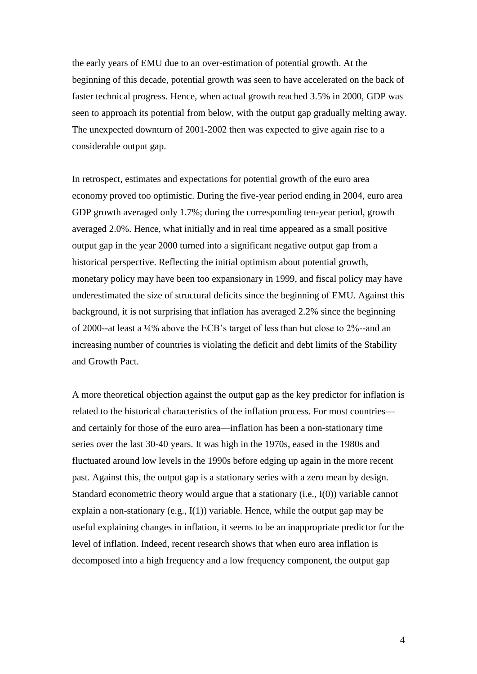the early years of EMU due to an over-estimation of potential growth. At the beginning of this decade, potential growth was seen to have accelerated on the back of faster technical progress. Hence, when actual growth reached 3.5% in 2000, GDP was seen to approach its potential from below, with the output gap gradually melting away. The unexpected downturn of 2001-2002 then was expected to give again rise to a considerable output gap.

In retrospect, estimates and expectations for potential growth of the euro area economy proved too optimistic. During the five-year period ending in 2004, euro area GDP growth averaged only 1.7%; during the corresponding ten-year period, growth averaged 2.0%. Hence, what initially and in real time appeared as a small positive output gap in the year 2000 turned into a significant negative output gap from a historical perspective. Reflecting the initial optimism about potential growth, monetary policy may have been too expansionary in 1999, and fiscal policy may have underestimated the size of structural deficits since the beginning of EMU. Against this background, it is not surprising that inflation has averaged 2.2% since the beginning of 2000--at least a ¼% above the ECB's target of less than but close to 2%--and an increasing number of countries is violating the deficit and debt limits of the Stability and Growth Pact.

A more theoretical objection against the output gap as the key predictor for inflation is related to the historical characteristics of the inflation process. For most countries and certainly for those of the euro area—inflation has been a non-stationary time series over the last 30-40 years. It was high in the 1970s, eased in the 1980s and fluctuated around low levels in the 1990s before edging up again in the more recent past. Against this, the output gap is a stationary series with a zero mean by design. Standard econometric theory would argue that a stationary (i.e., I(0)) variable cannot explain a non-stationary (e.g., I(1)) variable. Hence, while the output gap may be useful explaining changes in inflation, it seems to be an inappropriate predictor for the level of inflation. Indeed, recent research shows that when euro area inflation is decomposed into a high frequency and a low frequency component, the output gap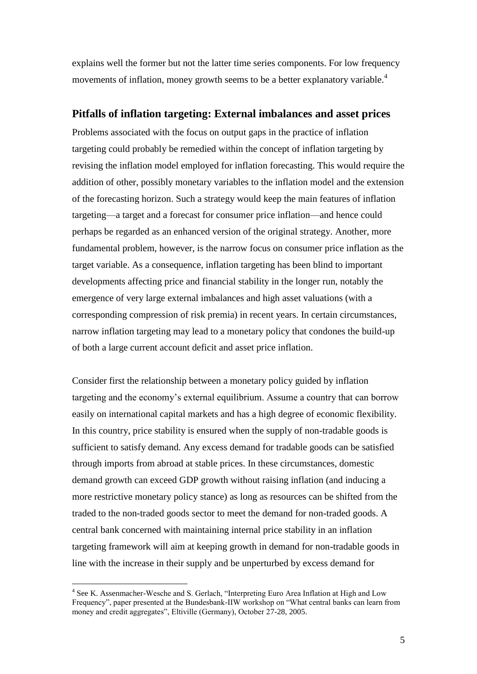explains well the former but not the latter time series components. For low frequency movements of inflation, money growth seems to be a better explanatory variable.<sup>4</sup>

#### **Pitfalls of inflation targeting: External imbalances and asset prices**

Problems associated with the focus on output gaps in the practice of inflation targeting could probably be remedied within the concept of inflation targeting by revising the inflation model employed for inflation forecasting. This would require the addition of other, possibly monetary variables to the inflation model and the extension of the forecasting horizon. Such a strategy would keep the main features of inflation targeting—a target and a forecast for consumer price inflation—and hence could perhaps be regarded as an enhanced version of the original strategy. Another, more fundamental problem, however, is the narrow focus on consumer price inflation as the target variable. As a consequence, inflation targeting has been blind to important developments affecting price and financial stability in the longer run, notably the emergence of very large external imbalances and high asset valuations (with a corresponding compression of risk premia) in recent years. In certain circumstances, narrow inflation targeting may lead to a monetary policy that condones the build-up of both a large current account deficit and asset price inflation.

Consider first the relationship between a monetary policy guided by inflation targeting and the economy's external equilibrium. Assume a country that can borrow easily on international capital markets and has a high degree of economic flexibility. In this country, price stability is ensured when the supply of non-tradable goods is sufficient to satisfy demand. Any excess demand for tradable goods can be satisfied through imports from abroad at stable prices. In these circumstances, domestic demand growth can exceed GDP growth without raising inflation (and inducing a more restrictive monetary policy stance) as long as resources can be shifted from the traded to the non-traded goods sector to meet the demand for non-traded goods. A central bank concerned with maintaining internal price stability in an inflation targeting framework will aim at keeping growth in demand for non-tradable goods in line with the increase in their supply and be unperturbed by excess demand for

<u>.</u>

<sup>&</sup>lt;sup>4</sup> See K. Assenmacher-Wesche and S. Gerlach, "Interpreting Euro Area Inflation at High and Low Frequency", paper presented at the Bundesbank-IIW workshop on "What central banks can learn from money and credit aggregates", Eltiville (Germany), October 27-28, 2005.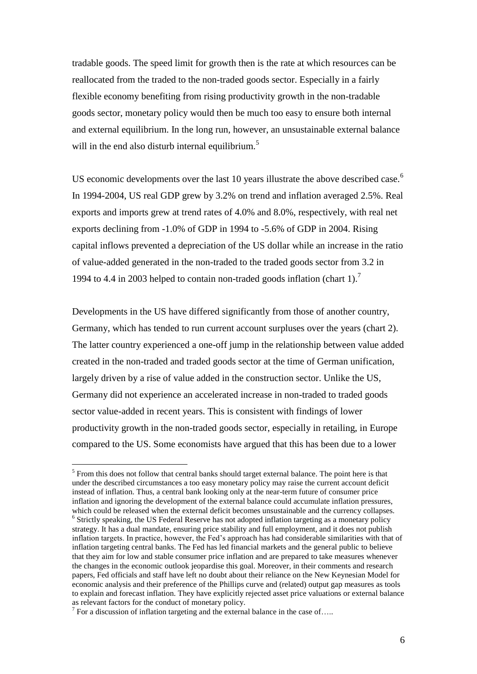tradable goods. The speed limit for growth then is the rate at which resources can be reallocated from the traded to the non-traded goods sector. Especially in a fairly flexible economy benefiting from rising productivity growth in the non-tradable goods sector, monetary policy would then be much too easy to ensure both internal and external equilibrium. In the long run, however, an unsustainable external balance will in the end also disturb internal equilibrium.<sup>5</sup>

US economic developments over the last 10 years illustrate the above described case.<sup>6</sup> In 1994-2004, US real GDP grew by 3.2% on trend and inflation averaged 2.5%. Real exports and imports grew at trend rates of 4.0% and 8.0%, respectively, with real net exports declining from -1.0% of GDP in 1994 to -5.6% of GDP in 2004. Rising capital inflows prevented a depreciation of the US dollar while an increase in the ratio of value-added generated in the non-traded to the traded goods sector from 3.2 in 1994 to 4.4 in 2003 helped to contain non-traded goods inflation (chart 1).<sup>7</sup>

Developments in the US have differed significantly from those of another country, Germany, which has tended to run current account surpluses over the years (chart 2). The latter country experienced a one-off jump in the relationship between value added created in the non-traded and traded goods sector at the time of German unification, largely driven by a rise of value added in the construction sector. Unlike the US, Germany did not experience an accelerated increase in non-traded to traded goods sector value-added in recent years. This is consistent with findings of lower productivity growth in the non-traded goods sector, especially in retailing, in Europe compared to the US. Some economists have argued that this has been due to a lower

1

 $<sup>5</sup>$  From this does not follow that central banks should target external balance. The point here is that</sup> under the described circumstances a too easy monetary policy may raise the current account deficit instead of inflation. Thus, a central bank looking only at the near-term future of consumer price inflation and ignoring the development of the external balance could accumulate inflation pressures, which could be released when the external deficit becomes unsustainable and the currency collapses. <sup>6</sup> Strictly speaking, the US Federal Reserve has not adopted inflation targeting as a monetary policy strategy. It has a dual mandate, ensuring price stability and full employment, and it does not publish inflation targets. In practice, however, the Fed's approach has had considerable similarities with that of inflation targeting central banks. The Fed has led financial markets and the general public to believe that they aim for low and stable consumer price inflation and are prepared to take measures whenever the changes in the economic outlook jeopardise this goal. Moreover, in their comments and research papers, Fed officials and staff have left no doubt about their reliance on the New Keynesian Model for economic analysis and their preference of the Phillips curve and (related) output gap measures as tools to explain and forecast inflation. They have explicitly rejected asset price valuations or external balance as relevant factors for the conduct of monetary policy.

 $^7$  For a discussion of inflation targeting and the external balance in the case of....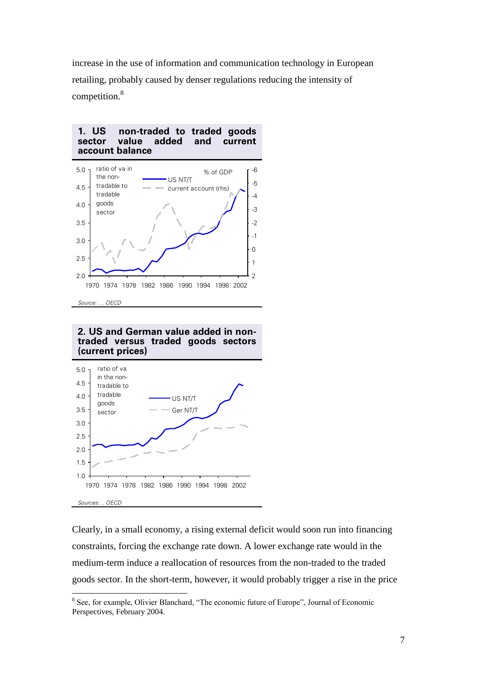increase in the use of information and communication technology in European retailing, probably caused by denser regulations reducing the intensity of competition.<sup>8</sup>



#### **2. US and German value added in nontraded versus traded goods sectors (current prices)**



Clearly, in a small economy, a rising external deficit would soon run into financing constraints, forcing the exchange rate down. A lower exchange rate would in the medium-term induce a reallocation of resources from the non-traded to the traded goods sector. In the short-term, however, it would probably trigger a rise in the price

<sup>1</sup> <sup>8</sup> See, for example, Olivier Blanchard, "The economic future of Europe", Journal of Economic Perspectives, February 2004.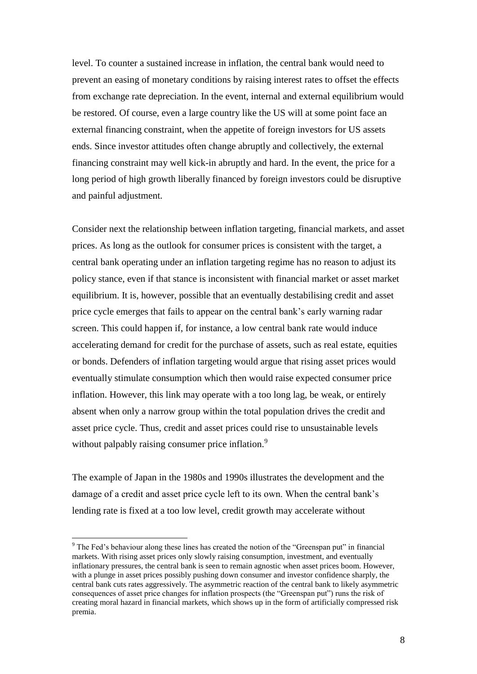level. To counter a sustained increase in inflation, the central bank would need to prevent an easing of monetary conditions by raising interest rates to offset the effects from exchange rate depreciation. In the event, internal and external equilibrium would be restored. Of course, even a large country like the US will at some point face an external financing constraint, when the appetite of foreign investors for US assets ends. Since investor attitudes often change abruptly and collectively, the external financing constraint may well kick-in abruptly and hard. In the event, the price for a long period of high growth liberally financed by foreign investors could be disruptive and painful adjustment.

Consider next the relationship between inflation targeting, financial markets, and asset prices. As long as the outlook for consumer prices is consistent with the target, a central bank operating under an inflation targeting regime has no reason to adjust its policy stance, even if that stance is inconsistent with financial market or asset market equilibrium. It is, however, possible that an eventually destabilising credit and asset price cycle emerges that fails to appear on the central bank's early warning radar screen. This could happen if, for instance, a low central bank rate would induce accelerating demand for credit for the purchase of assets, such as real estate, equities or bonds. Defenders of inflation targeting would argue that rising asset prices would eventually stimulate consumption which then would raise expected consumer price inflation. However, this link may operate with a too long lag, be weak, or entirely absent when only a narrow group within the total population drives the credit and asset price cycle. Thus, credit and asset prices could rise to unsustainable levels without palpably raising consumer price inflation.<sup>9</sup>

The example of Japan in the 1980s and 1990s illustrates the development and the damage of a credit and asset price cycle left to its own. When the central bank's lending rate is fixed at a too low level, credit growth may accelerate without

1

<sup>&</sup>lt;sup>9</sup> The Fed's behaviour along these lines has created the notion of the "Greenspan put" in financial markets. With rising asset prices only slowly raising consumption, investment, and eventually inflationary pressures, the central bank is seen to remain agnostic when asset prices boom. However, with a plunge in asset prices possibly pushing down consumer and investor confidence sharply, the central bank cuts rates aggressively. The asymmetric reaction of the central bank to likely asymmetric consequences of asset price changes for inflation prospects (the "Greenspan put") runs the risk of creating moral hazard in financial markets, which shows up in the form of artificially compressed risk premia.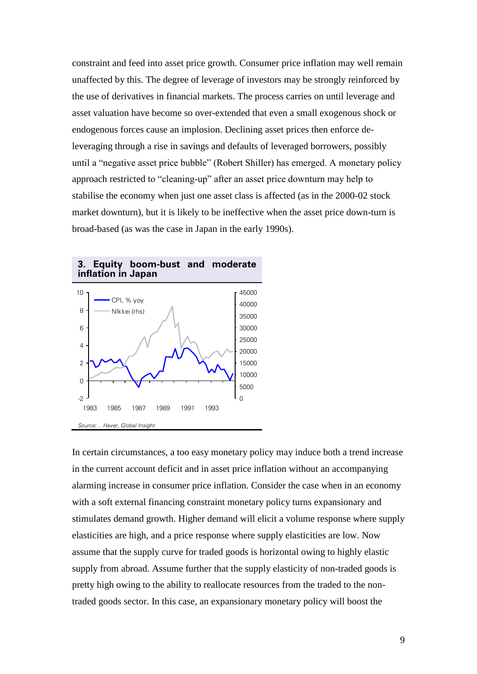constraint and feed into asset price growth. Consumer price inflation may well remain unaffected by this. The degree of leverage of investors may be strongly reinforced by the use of derivatives in financial markets. The process carries on until leverage and asset valuation have become so over-extended that even a small exogenous shock or endogenous forces cause an implosion. Declining asset prices then enforce deleveraging through a rise in savings and defaults of leveraged borrowers, possibly until a "negative asset price bubble" (Robert Shiller) has emerged. A monetary policy approach restricted to "cleaning-up" after an asset price downturn may help to stabilise the economy when just one asset class is affected (as in the 2000-02 stock market downturn), but it is likely to be ineffective when the asset price down-turn is broad-based (as was the case in Japan in the early 1990s).



#### **3. Equity boom-bust and moderate inflation in Japan**

In certain circumstances, a too easy monetary policy may induce both a trend increase in the current account deficit and in asset price inflation without an accompanying alarming increase in consumer price inflation. Consider the case when in an economy with a soft external financing constraint monetary policy turns expansionary and stimulates demand growth. Higher demand will elicit a volume response where supply elasticities are high, and a price response where supply elasticities are low. Now assume that the supply curve for traded goods is horizontal owing to highly elastic supply from abroad. Assume further that the supply elasticity of non-traded goods is pretty high owing to the ability to reallocate resources from the traded to the nontraded goods sector. In this case, an expansionary monetary policy will boost the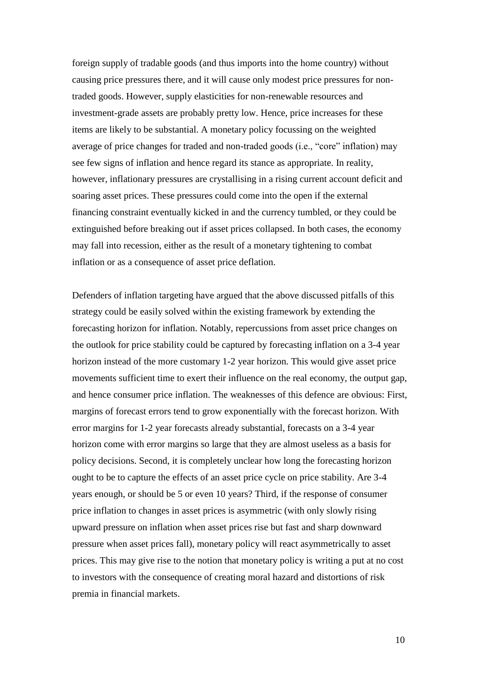foreign supply of tradable goods (and thus imports into the home country) without causing price pressures there, and it will cause only modest price pressures for nontraded goods. However, supply elasticities for non-renewable resources and investment-grade assets are probably pretty low. Hence, price increases for these items are likely to be substantial. A monetary policy focussing on the weighted average of price changes for traded and non-traded goods (i.e., "core" inflation) may see few signs of inflation and hence regard its stance as appropriate. In reality, however, inflationary pressures are crystallising in a rising current account deficit and soaring asset prices. These pressures could come into the open if the external financing constraint eventually kicked in and the currency tumbled, or they could be extinguished before breaking out if asset prices collapsed. In both cases, the economy may fall into recession, either as the result of a monetary tightening to combat inflation or as a consequence of asset price deflation.

Defenders of inflation targeting have argued that the above discussed pitfalls of this strategy could be easily solved within the existing framework by extending the forecasting horizon for inflation. Notably, repercussions from asset price changes on the outlook for price stability could be captured by forecasting inflation on a 3-4 year horizon instead of the more customary 1-2 year horizon. This would give asset price movements sufficient time to exert their influence on the real economy, the output gap, and hence consumer price inflation. The weaknesses of this defence are obvious: First, margins of forecast errors tend to grow exponentially with the forecast horizon. With error margins for 1-2 year forecasts already substantial, forecasts on a 3-4 year horizon come with error margins so large that they are almost useless as a basis for policy decisions. Second, it is completely unclear how long the forecasting horizon ought to be to capture the effects of an asset price cycle on price stability. Are 3-4 years enough, or should be 5 or even 10 years? Third, if the response of consumer price inflation to changes in asset prices is asymmetric (with only slowly rising upward pressure on inflation when asset prices rise but fast and sharp downward pressure when asset prices fall), monetary policy will react asymmetrically to asset prices. This may give rise to the notion that monetary policy is writing a put at no cost to investors with the consequence of creating moral hazard and distortions of risk premia in financial markets.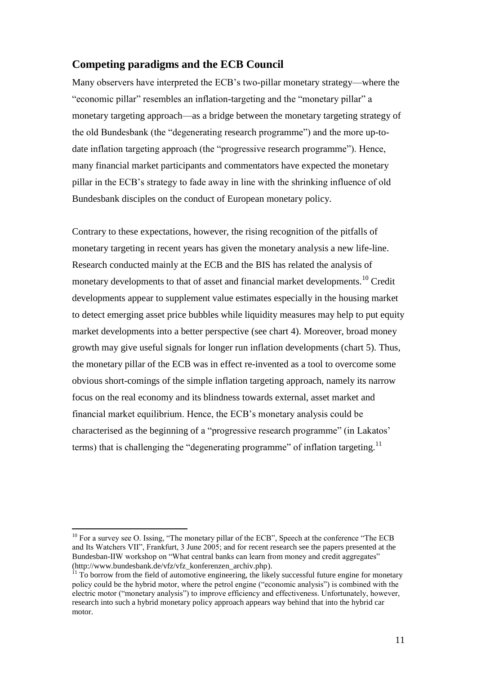### **Competing paradigms and the ECB Council**

Many observers have interpreted the ECB's two-pillar monetary strategy—where the "economic pillar" resembles an inflation-targeting and the "monetary pillar" a monetary targeting approach—as a bridge between the monetary targeting strategy of the old Bundesbank (the "degenerating research programme") and the more up-todate inflation targeting approach (the "progressive research programme"). Hence, many financial market participants and commentators have expected the monetary pillar in the ECB's strategy to fade away in line with the shrinking influence of old Bundesbank disciples on the conduct of European monetary policy.

Contrary to these expectations, however, the rising recognition of the pitfalls of monetary targeting in recent years has given the monetary analysis a new life-line. Research conducted mainly at the ECB and the BIS has related the analysis of monetary developments to that of asset and financial market developments.<sup>10</sup> Credit developments appear to supplement value estimates especially in the housing market to detect emerging asset price bubbles while liquidity measures may help to put equity market developments into a better perspective (see chart 4). Moreover, broad money growth may give useful signals for longer run inflation developments (chart 5). Thus, the monetary pillar of the ECB was in effect re-invented as a tool to overcome some obvious short-comings of the simple inflation targeting approach, namely its narrow focus on the real economy and its blindness towards external, asset market and financial market equilibrium. Hence, the ECB's monetary analysis could be characterised as the beginning of a "progressive research programme" (in Lakatos' terms) that is challenging the "degenerating programme" of inflation targeting.<sup>11</sup>

<u>.</u>

 $10$  For a survey see O. Issing, "The monetary pillar of the ECB", Speech at the conference "The ECB" and Its Watchers VII", Frankfurt, 3 June 2005; and for recent research see the papers presented at the Bundesban-IIW workshop on "What central banks can learn from money and credit aggregates" (http://www.bundesbank.de/vfz/vfz\_konferenzen\_archiv.php).

 $\overline{11}$  To borrow from the field of automotive engineering, the likely successful future engine for monetary policy could be the hybrid motor, where the petrol engine ("economic analysis") is combined with the electric motor ("monetary analysis") to improve efficiency and effectiveness. Unfortunately, however, research into such a hybrid monetary policy approach appears way behind that into the hybrid car motor.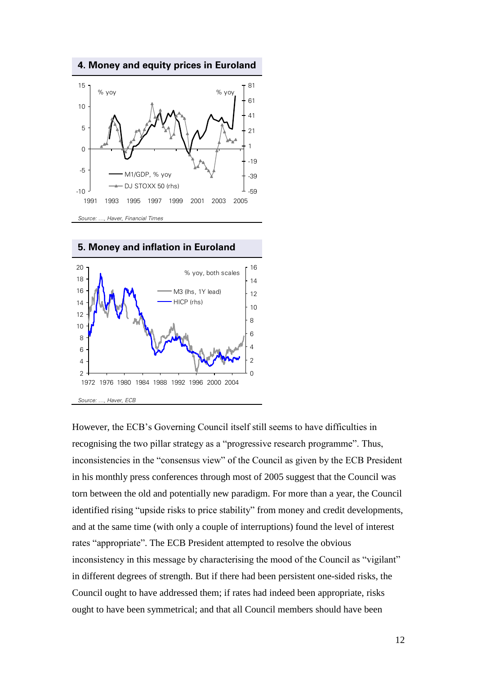**4. Money and equity prices in Euroland**



**5. Money and inflation in Euroland**



However, the ECB's Governing Council itself still seems to have difficulties in recognising the two pillar strategy as a "progressive research programme". Thus, inconsistencies in the "consensus view" of the Council as given by the ECB President in his monthly press conferences through most of 2005 suggest that the Council was torn between the old and potentially new paradigm. For more than a year, the Council identified rising "upside risks to price stability" from money and credit developments, and at the same time (with only a couple of interruptions) found the level of interest rates "appropriate". The ECB President attempted to resolve the obvious inconsistency in this message by characterising the mood of the Council as "vigilant" in different degrees of strength. But if there had been persistent one-sided risks, the Council ought to have addressed them; if rates had indeed been appropriate, risks ought to have been symmetrical; and that all Council members should have been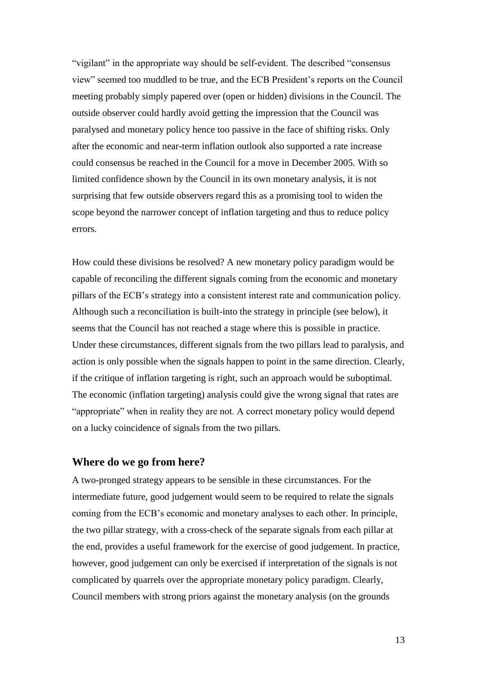"vigilant" in the appropriate way should be self-evident. The described "consensus view" seemed too muddled to be true, and the ECB President's reports on the Council meeting probably simply papered over (open or hidden) divisions in the Council. The outside observer could hardly avoid getting the impression that the Council was paralysed and monetary policy hence too passive in the face of shifting risks. Only after the economic and near-term inflation outlook also supported a rate increase could consensus be reached in the Council for a move in December 2005. With so limited confidence shown by the Council in its own monetary analysis, it is not surprising that few outside observers regard this as a promising tool to widen the scope beyond the narrower concept of inflation targeting and thus to reduce policy errors.

How could these divisions be resolved? A new monetary policy paradigm would be capable of reconciling the different signals coming from the economic and monetary pillars of the ECB's strategy into a consistent interest rate and communication policy. Although such a reconciliation is built-into the strategy in principle (see below), it seems that the Council has not reached a stage where this is possible in practice. Under these circumstances, different signals from the two pillars lead to paralysis, and action is only possible when the signals happen to point in the same direction. Clearly, if the critique of inflation targeting is right, such an approach would be suboptimal. The economic (inflation targeting) analysis could give the wrong signal that rates are "appropriate" when in reality they are not. A correct monetary policy would depend on a lucky coincidence of signals from the two pillars.

## **Where do we go from here?**

A two-pronged strategy appears to be sensible in these circumstances. For the intermediate future, good judgement would seem to be required to relate the signals coming from the ECB's economic and monetary analyses to each other. In principle, the two pillar strategy, with a cross-check of the separate signals from each pillar at the end, provides a useful framework for the exercise of good judgement. In practice, however, good judgement can only be exercised if interpretation of the signals is not complicated by quarrels over the appropriate monetary policy paradigm. Clearly, Council members with strong priors against the monetary analysis (on the grounds